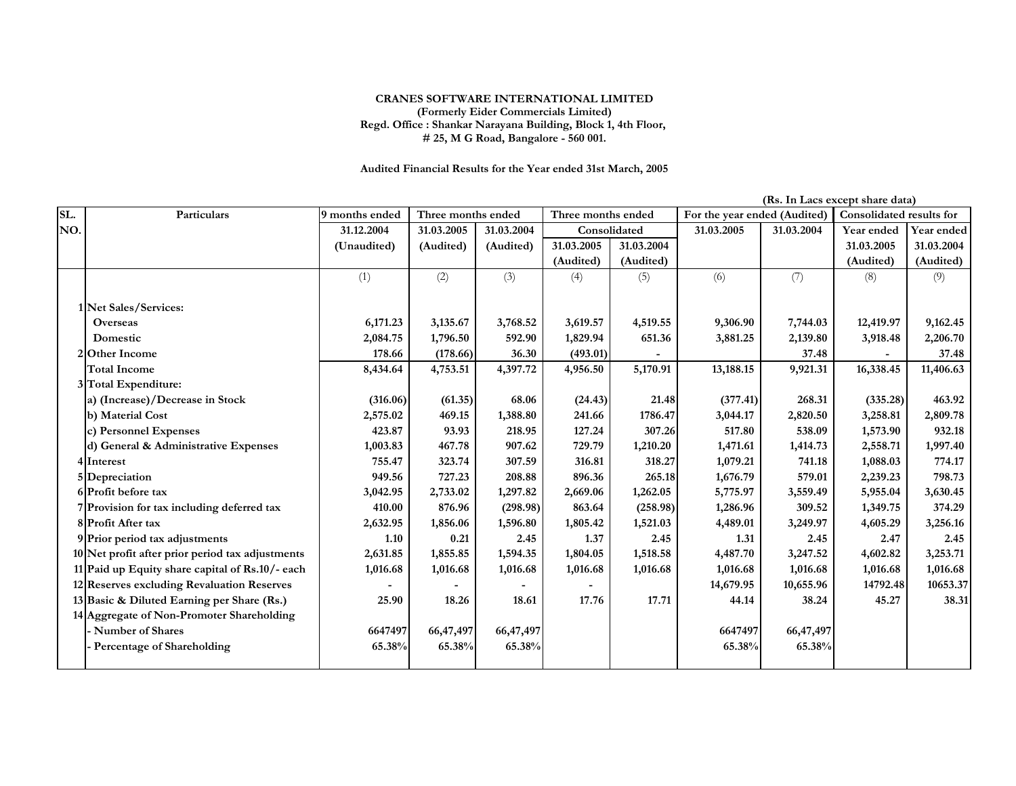## **CRANES SOFTWARE INTERNATIONAL LIMITED (Formerly Eider Commercials Limited) Regd. Office : Shankar Narayana Building, Block 1, 4th Floor, # 25, M G Road, Bangalore - 560 001.**

**Audited Financial Results for the Year ended 31st March, 2005**

|     | (Rs. In Lacs except share data)                  |                |                    |            |                    |            |                              |            |                          |            |
|-----|--------------------------------------------------|----------------|--------------------|------------|--------------------|------------|------------------------------|------------|--------------------------|------------|
| SL. | Particulars                                      | 9 months ended | Three months ended |            | Three months ended |            | For the year ended (Audited) |            | Consolidated results for |            |
| NO. |                                                  | 31.12.2004     | 31.03.2005         | 31.03.2004 | Consolidated       |            | 31.03.2005                   | 31.03.2004 | Year ended               | Year ended |
|     |                                                  | (Unaudited)    | (Audited)          | (Audited)  | 31.03.2005         | 31.03.2004 |                              |            | 31.03.2005               | 31.03.2004 |
|     |                                                  |                |                    |            | (Audited)          | (Audited)  |                              |            | (Audited)                | (Audited)  |
|     |                                                  | (1)            | (2)                | (3)        | (4)                | (5)        | (6)                          | (7)        | (8)                      | (9)        |
|     | 1 Net Sales/Services:                            |                |                    |            |                    |            |                              |            |                          |            |
|     | <b>Overseas</b>                                  | 6,171.23       | 3,135.67           | 3,768.52   | 3,619.57           | 4,519.55   | 9,306.90                     | 7,744.03   | 12,419.97                | 9,162.45   |
|     | Domestic                                         | 2,084.75       | 1,796.50           | 592.90     | 1,829.94           | 651.36     | 3,881.25                     | 2,139.80   | 3,918.48                 | 2,206.70   |
|     | 2 Other Income                                   | 178.66         | (178.66)           | 36.30      | (493.01)           |            |                              | 37.48      |                          | 37.48      |
|     | <b>Total Income</b>                              | 8,434.64       | 4,753.51           | 4,397.72   | 4,956.50           | 5,170.91   | 13,188.15                    | 9,921.31   | 16,338.45                | 11,406.63  |
|     | 3 Total Expenditure:                             |                |                    |            |                    |            |                              |            |                          |            |
|     | a) (Increase)/Decrease in Stock                  | (316.06)       | (61.35)            | 68.06      | (24.43)            | 21.48      | (377.41)                     | 268.31     | (335.28)                 | 463.92     |
|     | b) Material Cost                                 | 2,575.02       | 469.15             | 1,388.80   | 241.66             | 1786.47    | 3,044.17                     | 2,820.50   | 3,258.81                 | 2,809.78   |
|     | c) Personnel Expenses                            | 423.87         | 93.93              | 218.95     | 127.24             | 307.26     | 517.80                       | 538.09     | 1,573.90                 | 932.18     |
|     | d) General & Administrative Expenses             | 1,003.83       | 467.78             | 907.62     | 729.79             | 1,210.20   | 1,471.61                     | 1,414.73   | 2,558.71                 | 1,997.40   |
|     | 4 Interest                                       | 755.47         | 323.74             | 307.59     | 316.81             | 318.27     | 1,079.21                     | 741.18     | 1,088.03                 | 774.17     |
|     | 5 Depreciation                                   | 949.56         | 727.23             | 208.88     | 896.36             | 265.18     | 1,676.79                     | 579.01     | 2,239.23                 | 798.73     |
|     | 6 Profit before tax                              | 3,042.95       | 2,733.02           | 1,297.82   | 2,669.06           | 1,262.05   | 5,775.97                     | 3,559.49   | 5,955.04                 | 3,630.45   |
|     | 7 Provision for tax including deferred tax       | 410.00         | 876.96             | (298.98)   | 863.64             | (258.98)   | 1,286.96                     | 309.52     | 1,349.75                 | 374.29     |
|     | 8 Profit After tax                               | 2,632.95       | 1,856.06           | 1,596.80   | 1,805.42           | 1,521.03   | 4,489.01                     | 3,249.97   | 4,605.29                 | 3,256.16   |
|     | 9 Prior period tax adjustments                   | 1.10           | 0.21               | 2.45       | 1.37               | 2.45       | 1.31                         | 2.45       | 2.47                     | 2.45       |
|     | 10 Net profit after prior period tax adjustments | 2,631.85       | 1,855.85           | 1,594.35   | 1,804.05           | 1,518.58   | 4,487.70                     | 3,247.52   | 4,602.82                 | 3,253.71   |
|     | 11 Paid up Equity share capital of Rs.10/- each  | 1,016.68       | 1,016.68           | 1,016.68   | 1,016.68           | 1,016.68   | 1,016.68                     | 1,016.68   | 1,016.68                 | 1,016.68   |
|     | 12 Reserves excluding Revaluation Reserves       |                |                    |            |                    |            | 14,679.95                    | 10,655.96  | 14792.48                 | 10653.37   |
|     | 13 Basic & Diluted Earning per Share (Rs.)       | 25.90          | 18.26              | 18.61      | 17.76              | 17.71      | 44.14                        | 38.24      | 45.27                    | 38.31      |
|     | 14 Aggregate of Non-Promoter Shareholding        |                |                    |            |                    |            |                              |            |                          |            |
|     | <b>Number of Shares</b>                          | 6647497        | 66,47,497          | 66,47,497  |                    |            | 6647497                      | 66,47,497  |                          |            |
|     | Percentage of Shareholding                       | 65.38%         | 65.38%             | 65.38%     |                    |            | 65.38%                       | 65.38%     |                          |            |
|     |                                                  |                |                    |            |                    |            |                              |            |                          |            |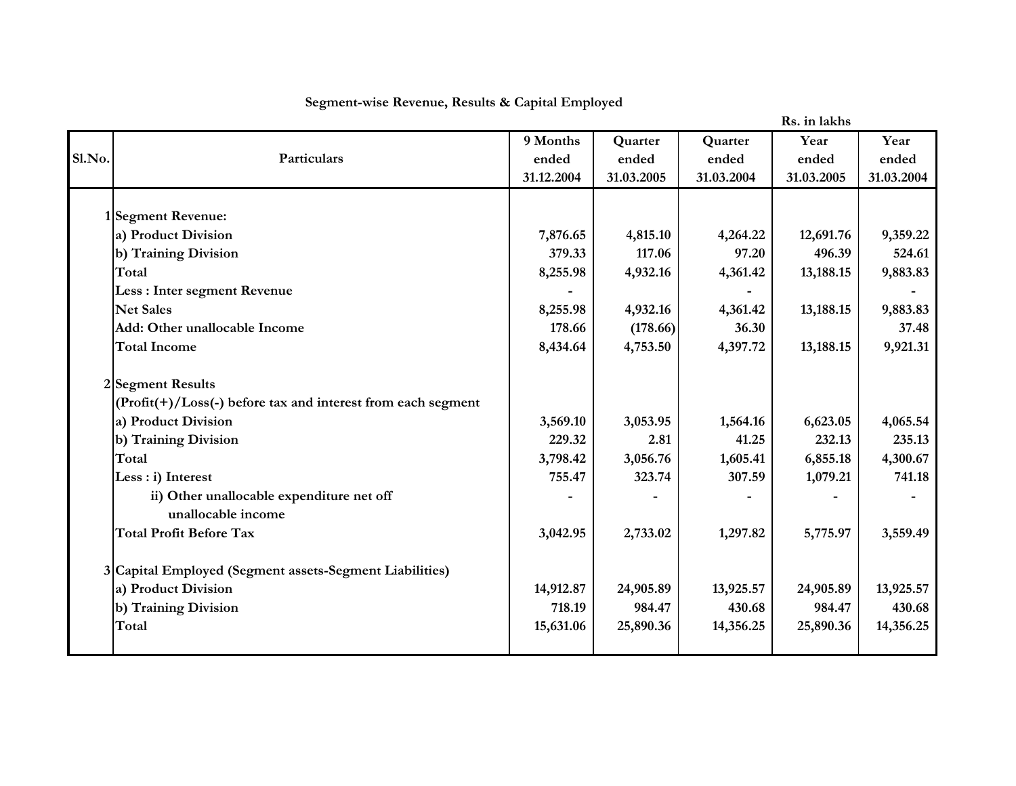|        |                                                                   |            |            |            | Rs. in lakhs |            |
|--------|-------------------------------------------------------------------|------------|------------|------------|--------------|------------|
|        |                                                                   | 9 Months   | Quarter    | Quarter    | Year         | Year       |
| Sl.No. | Particulars                                                       | ended      | ended      | ended      | ended        | ended      |
|        |                                                                   | 31.12.2004 | 31.03.2005 | 31.03.2004 | 31.03.2005   | 31.03.2004 |
|        |                                                                   |            |            |            |              |            |
|        | 1 Segment Revenue:                                                |            |            |            |              |            |
|        | a) Product Division                                               | 7,876.65   | 4,815.10   | 4,264.22   | 12,691.76    | 9,359.22   |
|        | b) Training Division                                              | 379.33     | 117.06     | 97.20      | 496.39       | 524.61     |
|        | Total                                                             | 8,255.98   | 4,932.16   | 4,361.42   | 13,188.15    | 9,883.83   |
|        | Less : Inter segment Revenue                                      |            |            |            |              |            |
|        | <b>Net Sales</b>                                                  | 8,255.98   | 4,932.16   | 4,361.42   | 13,188.15    | 9,883.83   |
|        | Add: Other unallocable Income                                     | 178.66     | (178.66)   | 36.30      |              | 37.48      |
|        | <b>Total Income</b>                                               | 8,434.64   | 4,753.50   | 4,397.72   | 13,188.15    | 9,921.31   |
|        | 2 Segment Results                                                 |            |            |            |              |            |
|        | $(Profit(+) / Loss(-) before tax and interest from each segment)$ |            |            |            |              |            |
|        | a) Product Division                                               | 3,569.10   | 3,053.95   | 1,564.16   | 6,623.05     | 4,065.54   |
|        | b) Training Division                                              | 229.32     | 2.81       | 41.25      | 232.13       | 235.13     |
|        | Total                                                             | 3,798.42   | 3,056.76   | 1,605.41   | 6,855.18     | 4,300.67   |
|        | Less : i) Interest                                                | 755.47     | 323.74     | 307.59     | 1,079.21     | 741.18     |
|        | ii) Other unallocable expenditure net off                         |            |            |            |              |            |
|        | unallocable income                                                |            |            |            |              |            |
|        | <b>Total Profit Before Tax</b>                                    | 3,042.95   | 2,733.02   | 1,297.82   | 5,775.97     | 3,559.49   |
|        | 3 Capital Employed (Segment assets-Segment Liabilities)           |            |            |            |              |            |
|        | a) Product Division                                               | 14,912.87  | 24,905.89  | 13,925.57  | 24,905.89    | 13,925.57  |
|        | b) Training Division                                              | 718.19     | 984.47     | 430.68     | 984.47       | 430.68     |
|        | Total                                                             | 15,631.06  | 25,890.36  | 14,356.25  | 25,890.36    | 14,356.25  |
|        |                                                                   |            |            |            |              |            |

## **Segment-wise Revenue, Results & Capital Employed**